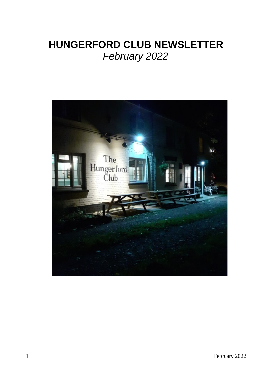# **HUNGERFORD CLUB NEWSLETTER** *February 2022*

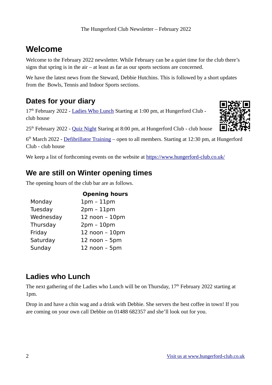## **Welcome**

Welcome to the February 2022 newsletter. While February can be a quiet time for the club there's signs that spring is in the air – at least as far as our sports sections are concerned.

We have the latest news from the Steward, Debbie Hutchins. This is followed by a short updates from the Bowls, Tennis and Indoor Sports sections.

## **Dates for your diary**

17<sup>th</sup> February 2022 - [Ladies Who Lunch](https://www.hungerford-club.co.uk/?event=ladies-who-lunch-4) Starting at 1:00 pm, at Hungerford Club club house



 $25<sup>th</sup>$  February 2022 - [Quiz Night](https://www.hungerford-club.co.uk/?event=quiz-night-3) Staring at 8:00 pm, at Hungerford Club - club house

6<sup>th</sup> March 2022 - *Defibrillator Training* – open to all members. Starting at 12:30 pm, at Hungerford Club - club house

We keep a list of forthcoming events on the website at<https://www.hungerford-club.co.uk/>

### **We are still on Winter opening times**

The opening hours of the club bar are as follows.

|           | <b>Opening hours</b> |
|-----------|----------------------|
| Monday    | $1pm - 11pm$         |
| Tuesday   | $2pm - 11pm$         |
| Wednesday | 12 noon - 10pm       |
| Thursday  | $2pm - 10pm$         |
| Friday    | 12 noon - 10pm       |
| Saturday  | $12$ noon $-$ 5pm    |
| Sunday    | 12 noon - 5pm        |

### **Ladies who Lunch**

The next gathering of the Ladies who Lunch will be on Thursday,  $17<sup>th</sup>$  February 2022 starting at 1pm.

Drop in and have a chin wag and a drink with Debbie. She servers the best coffee in town! If you are coming on your own call Debbie on 01488 682357 and she'll look out for you.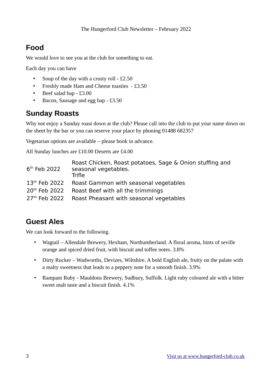## **Food**

We would love to see you at the club for something to eat.

Each day you can have

- Soup of the day with a crusty roll £2.50
- Freshly made Ham and Cheese toasties £3.50
- Beef salad bap £3.00
- Bacon, Sausage and egg bap £3.50

### **Sunday Roasts**

Why not enjoy a Sunday roast down at the club? Please call into the club to put your name down on the sheet by the bar or you can reserve your place by phoning 01488 682357

Vegetarian options are available – please book in advance.

All Sunday lunches are £10.00 Deserts are £4.00

| $6th$ Feb 2022            | Roast Chicken, Roast potatoes, Sage & Onion stuffing and<br>seasonal vegetables.<br><b>Trifle</b> |
|---------------------------|---------------------------------------------------------------------------------------------------|
| 13 <sup>th</sup> Feb 2022 | Roast Gammon with seasonal vegetables                                                             |
| 20 <sup>th</sup> Feb 2022 | Roast Beef with all the trimmings                                                                 |
|                           | 27 <sup>th</sup> Feb 2022 Roast Pheasant with seasonal vegetables                                 |

## **Guest Ales**

We can look forward to the following.

- Wagtail Allendale Brewery, Hexham, Northumberland. A floral aroma, hints of seville orange and spiced dried fruit, with biscuit and toffee notes. 3.8%
- Dirty Rucker Wadworths, Devizes, Wiltshire. A bold English ale, fruity on the palate with a malty sweetness that leads to a peppery note for a smooth finish. 3.9%
- Rampant Ruby Mauldons Brewery, Sudbury, Suffolk. Light ruby coloured ale with a bitter sweet malt taste and a biscuit finish. 4.1%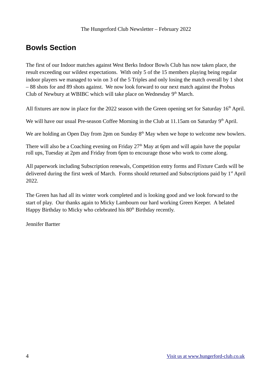## **Bowls Section**

The first of our Indoor matches against West Berks Indoor Bowls Club has now taken place, the result exceeding our wildest expectations. With only 5 of the 15 members playing being regular indoor players we managed to win on 3 of the 5 Triples and only losing the match overall by 1 shot – 88 shots for and 89 shots against. We now look forward to our next match against the Probus Club of Newbury at WBIBC which will take place on Wednesday  $9<sup>th</sup>$  March.

All fixtures are now in place for the 2022 season with the Green opening set for Saturday  $16<sup>th</sup>$  April.

We will have our usual Pre-season Coffee Morning in the Club at 11.15am on Saturday  $9<sup>th</sup>$  April.

We are holding an Open Day from 2pm on Sunday  $8<sup>th</sup>$  May when we hope to welcome new bowlers.

There will also be a Coaching evening on Friday  $27<sup>th</sup>$  May at 6pm and will again have the popular roll ups, Tuesday at 2pm and Friday from 6pm to encourage those who work to come along.

All paperwork including Subscription renewals, Competition entry forms and Fixture Cards will be delivered during the first week of March. Forms should returned and Subscriptions paid by 1<sup>st</sup> April 2022.

The Green has had all its winter work completed and is looking good and we look forward to the start of play. Our thanks again to Micky Lambourn our hard working Green Keeper. A belated Happy Birthday to Micky who celebrated his 80<sup>th</sup> Birthday recently.

Jennifer Bartter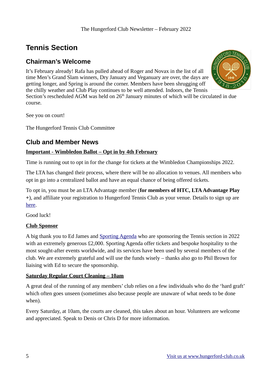#### The Hungerford Club Newsletter – February 2022

## **Tennis Section**

### **Chairman's Welcome**

It's February already! Rafa has pulled ahead of Roger and Novax in the list of all time Men's Grand Slam winners, Dry January and Veganuary are over, the days are getting longer, and Spring is around the corner. Members have been shrugging off the chilly weather and Club Play continues to be well attended. Indoors, the Tennis

Section's rescheduled AGM was held on 26<sup>th</sup> January minutes of which will be circulated in due course.

See you on court!

The Hungerford Tennis Club Committee

### **Club and Member News**

### **Important - Wimbledon Ballot – Opt in by 4th February**

Time is running out to opt in for the change for tickets at the Wimbledon Championships 2022.

The LTA has changed their process, where there will be no allocation to venues. All members who opt in go into a centralized ballot and have an equal chance of being offered tickets.

To opt in, you must be an LTA Advantage member (**for members of HTC, LTA Advantage Play +**), and affiliate your registration to Hungerford Tennis Club as your venue. Details to sign up are [here](https://www2.lta.org.uk/advantage/?_ga=2.264350476.282743449.1643623265-2126518862.1633952784).

Good luck!

### **Club Sponsor**

A big thank you to Ed James and [Sporting Agenda](https://www.sportingagenda.co.uk/) who are sponsoring the Tennis section in 2022 with an extremely generous £2,000. Sporting Agenda offer tickets and bespoke hospitality to the most sought-after events worldwide, and its services have been used by several members of the club. We are extremely grateful and will use the funds wisely – thanks also go to Phil Brown for liaising with Ed to secure the sponsorship.

#### **Saturday Regular Court Cleaning – 10am**

A great deal of the running of any members' club relies on a few individuals who do the 'hard graft' which often goes unseen (sometimes also because people are unaware of what needs to be done when).

Every Saturday, at 10am, the courts are cleaned, this takes about an hour. Volunteers are welcome and appreciated. Speak to Denis or Chris D for more information.

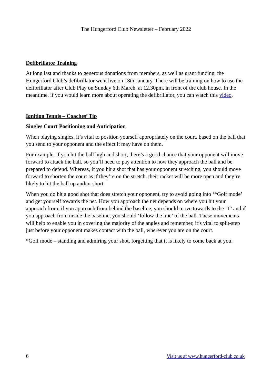### **Defibrillator Training**

At long last and thanks to generous donations from members, as well as grant funding, the Hungerford Club's defibrillator went live on 18th January. There will be training on how to use the defibrillator after Club Play on Sunday 6th March, at 12.30pm, in front of the club house. In the meantime, if you would learn more about operating the defibrillator, you can watch this [video.](https://www.youtube.com/watch?v=xkcD3Mv9oAU)

#### **Ignition Tennis – Coaches' Tip**

#### **Singles Court Positioning and Anticipation**

When playing singles, it's vital to position yourself appropriately on the court, based on the ball that you send to your opponent and the effect it may have on them.

For example, if you hit the ball high and short, there's a good chance that your opponent will move forward to attack the ball, so you'll need to pay attention to how they approach the ball and be prepared to defend. Whereas, if you hit a shot that has your opponent stretching, you should move forward to shorten the court as if they're on the stretch, their racket will be more open and they're likely to hit the ball up and/or short.

When you do hit a good shot that does stretch your opponent, try to avoid going into "Golf mode" and get yourself towards the net. How you approach the net depends on where you hit your approach from; if you approach from behind the baseline, you should move towards to the 'T' and if you approach from inside the baseline, you should 'follow the line' of the ball. These movements will help to enable you in covering the majority of the angles and remember, it's vital to split-step just before your opponent makes contact with the ball, wherever you are on the court.

\*Golf mode – standing and admiring your shot, forgetting that it is likely to come back at you.